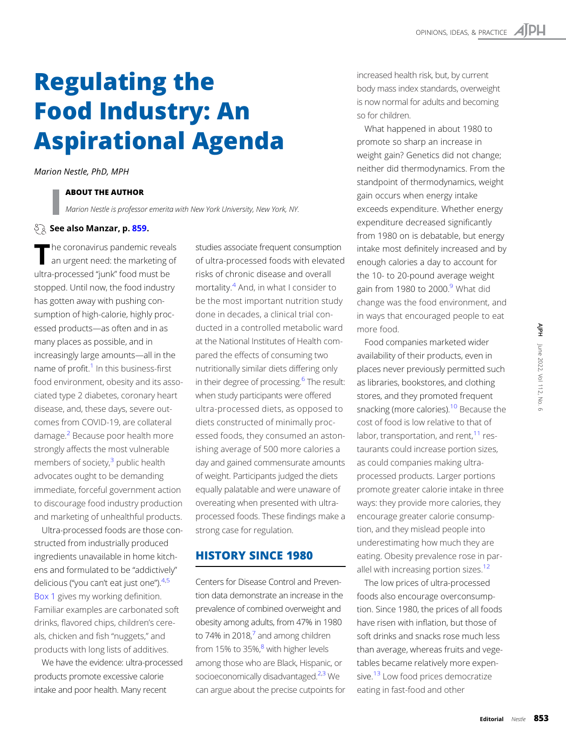# Regulating the Food Industry: An Aspirational Agenda

Marion Nestle, PhD, MPH

### ABOUT THE AUTHOR

Marion Nestle is professor emerita with New York University, New York, NY.

#### $\Im$  See also Manzar, p. [859](https://doi.org/10.2105/AJPH.2022.306786).

The coronavirus pandemic reveals<br>an urgent need: the marketing of ultra-processed "junk" food must be stopped. Until now, the food industry has gotten away with pushing consumption of high-calorie, highly processed products—as often and in as many places as possible, and in increasingly large amounts—all in the name of profit. $1$  In this business-first food environment, obesity and its associated type 2 diabetes, coronary heart disease, and, these days, severe outcomes from COVID-19, are collateral damage.<sup>2</sup> Because poor health more strongly affects the most vulnerable members of society, $3$  public health advocates ought to be demanding immediate, forceful government action to discourage food industry production and marketing of unhealthful products.

Ultra-processed foods are those constructed from industrially produced ingredients unavailable in home kitchens and formulated to be "addictively" delicious ("you can't eat just one"). 4,[5](#page-4-0) [Box 1](#page-1-0) gives my working definition. Familiar examples are carbonated soft drinks, flavored chips, children's cereals, chicken and fish "nuggets," and products with long lists of additives.

We have the evidence: ultra-processed products promote excessive calorie intake and poor health. Many recent

studies associate frequent consumption of ultra-processed foods with elevated risks of chronic disease and overall mortality.[4](#page-4-0) And, in what I consider to be the most important nutrition study done in decades, a clinical trial conducted in a controlled metabolic ward at the National Institutes of Health compared the effects of consuming two nutritionally similar diets differing only in their degree of processing.<sup>6</sup> The result: when study participants were offered ultra-processed diets, as opposed to diets constructed of minimally processed foods, they consumed an astonishing average of 500 more calories a day and gained commensurate amounts of weight. Participants judged the diets equally palatable and were unaware of overeating when presented with ultraprocessed foods. These findings make a strong case for regulation.

# HISTORY SINCE 1980

Centers for Disease Control and Prevention data demonstrate an increase in the prevalence of combined overweight and obesity among adults, from 47% in 1980 to [7](#page-4-0)4% in 2018, $<sup>7</sup>$  and among children</sup> from 15% to 35%, $8$  with higher levels among those who are Black, Hispanic, or socioeconomically disadvantaged.<sup>2,3</sup> We can argue about the precise cutpoints for increased health risk, but, by current body mass index standards, overweight is now normal for adults and becoming so for children.

What happened in about 1980 to promote so sharp an increase in weight gain? Genetics did not change; neither did thermodynamics. From the standpoint of thermodynamics, weight gain occurs when energy intake exceeds expenditure. Whether energy expenditure decreased significantly from 1980 on is debatable, but energy intake most definitely increased and by enough calories a day to account for the 10- to 20-pound average weight gain from 1980 to 2000.<sup>9</sup> What did change was the food environment, and in ways that encouraged people to eat more food.

Food companies marketed wider availability of their products, even in places never previously permitted such as libraries, bookstores, and clothing stores, and they promoted frequent snacking (more calories).<sup>10</sup> Because the cost of food is low relative to that of labor, transportation, and rent, $11$  restaurants could increase portion sizes, as could companies making ultraprocessed products. Larger portions promote greater calorie intake in three ways: they provide more calories, they encourage greater calorie consumption, and they mislead people into underestimating how much they are eating. Obesity prevalence rose in par-allel with increasing portion sizes.<sup>[12](#page-4-0)</sup>

The low prices of ultra-processed foods also encourage overconsumption. Since 1980, the prices of all foods have risen with inflation, but those of soft drinks and snacks rose much less than average, whereas fruits and vegetables became relatively more expen-sive.<sup>[13](#page-4-0)</sup> Low food prices democratize eating in fast-food and other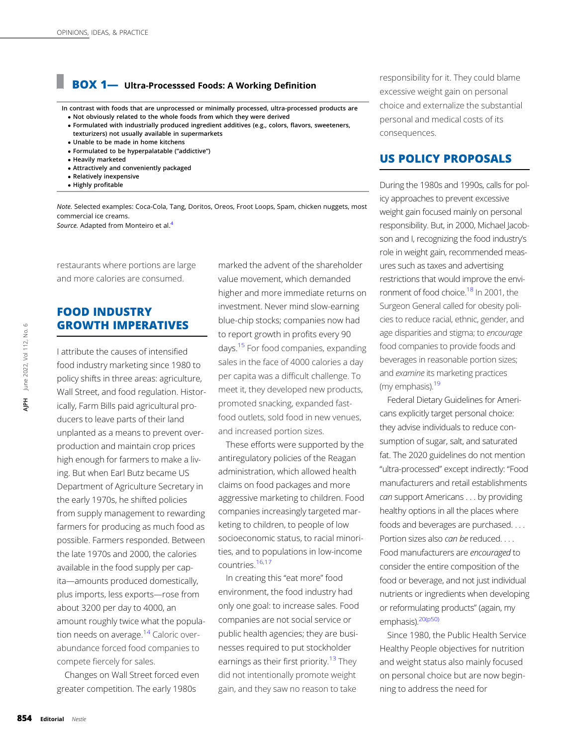# <span id="page-1-0"></span>BOX 1— Ultra-Processsed Foods: A Working Definition

In contrast with foods that are unprocessed or minimally processed, ultra-processed products are Not obviously related to the whole foods from which they were derived

- Formulated with industrially produced ingredient additives (e.g., colors, flavors, sweeteners, texturizers) not usually available in supermarkets
- Unable to be made in home kitchens
- Formulated to be hyperpalatable ("addictive")
- Heavily marketed
- Attractively and conveniently packaged
- Relatively inexpensive
- Highly profitable

Note. Selected examples: Coca-Cola, Tang, Doritos, Oreos, Froot Loops, Spam, chicken nuggets, most commercial ice creams. Source. Adapted from Monteiro et al.<sup>[4](#page-4-0)</sup>

restaurants where portions are large and more calories are consumed.

# FOOD INDUSTRY GROWTH IMPERATIVES

I attribute the causes of intensified food industry marketing since 1980 to policy shifts in three areas: agriculture, Wall Street, and food regulation. Historically, Farm Bills paid agricultural producers to leave parts of their land unplanted as a means to prevent overproduction and maintain crop prices high enough for farmers to make a living. But when Earl Butz became US Department of Agriculture Secretary in the early 1970s, he shifted policies from supply management to rewarding farmers for producing as much food as possible. Farmers responded. Between the late 1970s and 2000, the calories available in the food supply per capita—amounts produced domestically, plus imports, less exports—rose from about 3200 per day to 4000, an amount roughly twice what the population needs on average.<sup>14</sup> Caloric overabundance forced food companies to compete fiercely for sales. **EXPLEMATELAT SETTLE CONCERN CONTROLL SETTLE AVERAGE CONCERN CONCERN CONCERN CONCERN CONCERN AND SERVED CHANNEL SERVERTLE CONCERN CONCERN AND SERVED CHANNEL SERVERTLE CHANNEL SERVERTLE CHANNEL SERVERTLE SERVERTLES SERVERTL** 

Changes on Wall Street forced even greater competition. The early 1980s

marked the advent of the shareholder value movement, which demanded higher and more immediate returns on investment. Never mind slow-earning blue-chip stocks; companies now had to report growth in profits every 90 days[.15](#page-4-0) For food companies, expanding sales in the face of 4000 calories a day per capita was a difficult challenge. To meet it, they developed new products, promoted snacking, expanded fastfood outlets, sold food in new venues, and increased portion sizes.

These efforts were supported by the antiregulatory policies of the Reagan administration, which allowed health claims on food packages and more aggressive marketing to children. Food companies increasingly targeted marketing to children, to people of low socioeconomic status, to racial minorities, and to populations in low-income countries.[16](#page-4-0),[17](#page-4-0)

In creating this "eat more" food environment, the food industry had only one goal: to increase sales. Food companies are not social service or public health agencies; they are businesses required to put stockholder earnings as their first priority.<sup>13</sup> They did not intentionally promote weight gain, and they saw no reason to take

responsibility for it. They could blame excessive weight gain on personal choice and externalize the substantial personal and medical costs of its consequences.

## US POLICY PROPOSALS

During the 1980s and 1990s, calls for policy approaches to prevent excessive weight gain focused mainly on personal responsibility. But, in 2000, Michael Jacobson and I, recognizing the food industry's role in weight gain, recommended measures such as taxes and advertising restrictions that would improve the envi-ronment of food choice.<sup>[18](#page-4-0)</sup> In 2001, the Surgeon General called for obesity policies to reduce racial, ethnic, gender, and age disparities and stigma; to encourage food companies to provide foods and beverages in reasonable portion sizes; and examine its marketing practices (my emphasis).<sup>19</sup>

Federal Dietary Guidelines for Americans explicitly target personal choice: they advise individuals to reduce consumption of sugar, salt, and saturated fat. The 2020 guidelines do not mention "ultra-processed" except indirectly: "Food manufacturers and retail establishments can support Americans . . . by providing healthy options in all the places where foods and beverages are purchased. . . . Portion sizes also can be reduced. . . . Food manufacturers are encouraged to consider the entire composition of the food or beverage, and not just individual nutrients or ingredients when developing or reformulating products" (again, my emphasis).<sup>20(p50)</sup>

Since 1980, the Public Health Service Healthy People objectives for nutrition and weight status also mainly focused on personal choice but are now beginning to address the need for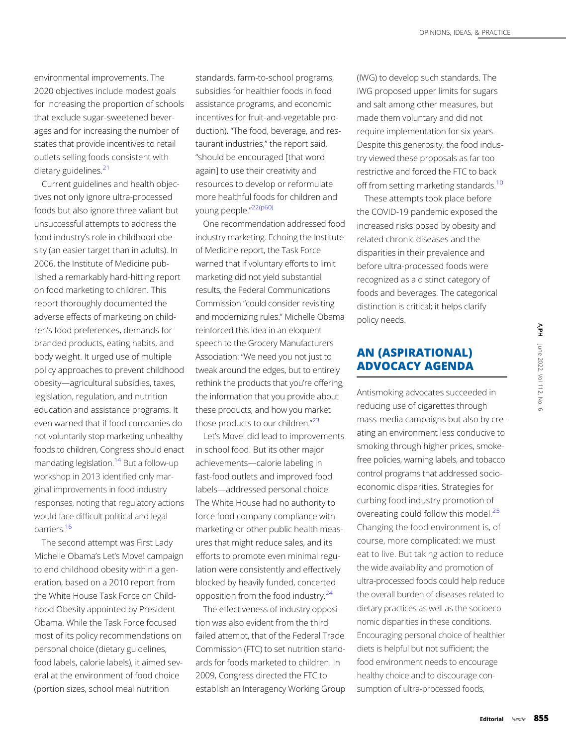environmental improvements. The 2020 objectives include modest goals for increasing the proportion of schools that exclude sugar-sweetened beverages and for increasing the number of states that provide incentives to retail outlets selling foods consistent with dietary guidelines.<sup>[21](#page-4-0)</sup>

Current guidelines and health objectives not only ignore ultra-processed foods but also ignore three valiant but unsuccessful attempts to address the food industry's role in childhood obesity (an easier target than in adults). In 2006, the Institute of Medicine published a remarkably hard-hitting report on food marketing to children. This report thoroughly documented the adverse effects of marketing on children's food preferences, demands for branded products, eating habits, and body weight. It urged use of multiple policy approaches to prevent childhood obesity—agricultural subsidies, taxes, legislation, regulation, and nutrition education and assistance programs. It even warned that if food companies do not voluntarily stop marketing unhealthy foods to children, Congress should enact mandating legislation.<sup>[14](#page-4-0)</sup> But a follow-up workshop in 2013 identified only marginal improvements in food industry responses, noting that regulatory actions would face difficult political and legal barriers.<sup>16</sup>

The second attempt was First Lady Michelle Obama's Let's Move! campaign to end childhood obesity within a generation, based on a 2010 report from the White House Task Force on Childhood Obesity appointed by President Obama. While the Task Force focused most of its policy recommendations on personal choice (dietary guidelines, food labels, calorie labels), it aimed several at the environment of food choice (portion sizes, school meal nutrition

standards, farm-to-school programs, subsidies for healthier foods in food assistance programs, and economic incentives for fruit-and-vegetable production). "The food, beverage, and restaurant industries," the report said, "should be encouraged [that word again] to use their creativity and resources to develop or reformulate more healthful foods for children and young people." [22\(p60\)](#page-4-0)

One recommendation addressed food industry marketing. Echoing the Institute of Medicine report, the Task Force warned that if voluntary efforts to limit marketing did not yield substantial results, the Federal Communications Commission "could consider revisiting and modernizing rules." Michelle Obama reinforced this idea in an eloquent speech to the Grocery Manufacturers Association: "We need you not just to tweak around the edges, but to entirely rethink the products that you're offering, the information that you provide about these products, and how you market those products to our children."<sup>[23](#page-4-0)</sup>

Let's Move! did lead to improvements in school food. But its other major achievements—calorie labeling in fast-food outlets and improved food labels—addressed personal choice. The White House had no authority to force food company compliance with marketing or other public health measures that might reduce sales, and its efforts to promote even minimal regulation were consistently and effectively blocked by heavily funded, concerted opposition from the food industry.[24](#page-4-0)

The effectiveness of industry opposition was also evident from the third failed attempt, that of the Federal Trade Commission (FTC) to set nutrition standards for foods marketed to children. In 2009, Congress directed the FTC to establish an Interagency Working Group (IWG) to develop such standards. The IWG proposed upper limits for sugars and salt among other measures, but made them voluntary and did not require implementation for six years. Despite this generosity, the food industry viewed these proposals as far too restrictive and forced the FTC to back off from setting marketing standards.<sup>[10](#page-4-0)</sup>

These attempts took place before the COVID-19 pandemic exposed the increased risks posed by obesity and related chronic diseases and the disparities in their prevalence and before ultra-processed foods were recognized as a distinct category of foods and beverages. The categorical distinction is critical; it helps clarify policy needs.

# AN (ASPIRATIONAL) ADVOCACY AGENDA

Antismoking advocates succeeded in reducing use of cigarettes through mass-media campaigns but also by creating an environment less conducive to smoking through higher prices, smokefree policies, warning labels, and tobacco control programs that addressed socioeconomic disparities. Strategies for curbing food industry promotion of overeating could follow this model.<sup>[25](#page-4-0)</sup> Changing the food environment is, of course, more complicated: we must eat to live. But taking action to reduce the wide availability and promotion of ultra-processed foods could help reduce the overall burden of diseases related to dietary practices as well as the socioeconomic disparities in these conditions. Encouraging personal choice of healthier diets is helpful but not sufficient; the food environment needs to encourage healthy choice and to discourage consumption of ultra-processed foods, Editorial Nestle 855<br>Editorial Nestle 2022, Nestle 855<br>Editorial Nestle 855<br>Editorial Nestle 855<br>Beditorial Nestle 855<br>Editorial Nestle 855

₹Р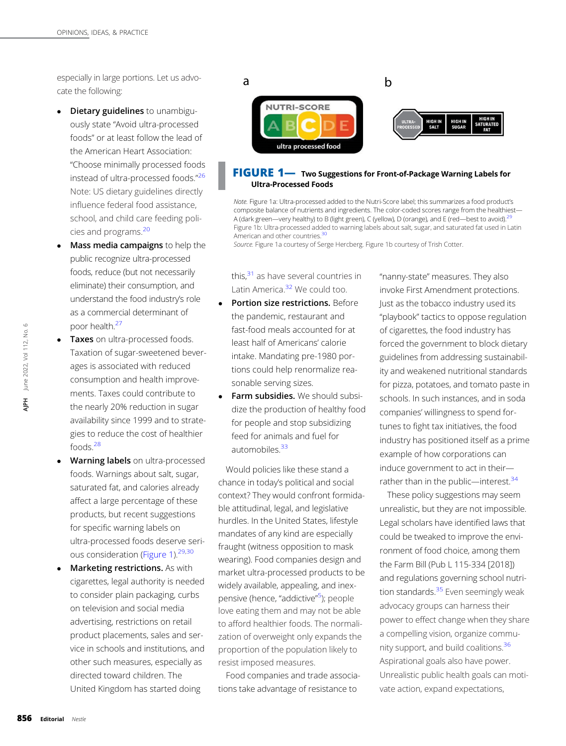especially in large portions. Let us advocate the following:

- Dietary guidelines to unambiguously state "Avoid ultra-processed foods" or at least follow the lead of the American Heart Association: "Choose minimally processed foods instead of ultra-processed foods." [26](#page-4-0) Note: US dietary guidelines directly influence federal food assistance, school, and child care feeding policies and programs.[20](#page-4-0)
- Mass media campaigns to help the public recognize ultra-processed foods, reduce (but not necessarily eliminate) their consumption, and understand the food industry's role as a commercial determinant of poor health[.27](#page-4-0)
- Taxes on ultra-processed foods. Taxation of sugar-sweetened beverages is associated with reduced consumption and health improvements. Taxes could contribute to the nearly 20% reduction in sugar availability since 1999 and to strategies to reduce the cost of healthier foods[.28](#page-4-0)
- Warning labels on ultra-processed foods. Warnings about salt, sugar, saturated fat, and calories already affect a large percentage of these products, but recent suggestions for specific warning labels on ultra-processed foods deserve seri-ous consideration (Figure 1).<sup>[29](#page-4-0),[30](#page-5-0)</sup>
- Marketing restrictions. As with cigarettes, legal authority is needed to consider plain packaging, curbs on television and social media advertising, restrictions on retail product placements, sales and service in schools and institutions, and other such measures, especially as directed toward children. The United Kingdom has started doing boot and the laval of the laval and gies food and the laval affect proces and the laval affect proces of the dire Unit<br> **856** Editorial Nestle<br>
Boot Construction of the dire Unit<br>
Boot Construction of the dire Unit<br>
Boot C



#### FIGURE 1- Two Suggestions for Front-of-Package Warning Labels for Ultra-Processed Foods

Note. Figure 1a: Ultra-processed added to the Nutri-Score label; this summarizes a food product's composite balance of nutrients and ingredients. The color-coded scores range from the healthiest— A (dark green—very healthy) to B (light green), C (yellow), D (orange), and E (red—best to avoid).<sup>[29](#page-4-0)</sup> Figure 1b: Ultra-processed added to warning labels about salt, sugar, and saturated fat used in Latin American and other countries.<sup>30</sup>

Source. Figure 1a courtesy of Serge Hercberg. Figure 1b courtesy of Trish Cotter.

this.<sup>31</sup> as have several countries in Latin America.<sup>32</sup> We could too.

- Portion size restrictions. Before the pandemic, restaurant and fast-food meals accounted for at least half of Americans' calorie intake. Mandating pre-1980 portions could help renormalize reasonable serving sizes.
- Farm subsidies. We should subsidize the production of healthy food for people and stop subsidizing feed for animals and fuel for automobiles $33$

Would policies like these stand a chance in today's political and social context? They would confront formidable attitudinal, legal, and legislative hurdles. In the United States, lifestyle mandates of any kind are especially fraught (witness opposition to mask wearing). Food companies design and market ultra-processed products to be widely available, appealing, and inexpensive (hence, "addictive" [5](#page-4-0) ); people love eating them and may not be able to afford healthier foods. The normalization of overweight only expands the proportion of the population likely to resist imposed measures.

Food companies and trade associations take advantage of resistance to

"nanny-state" measures. They also invoke First Amendment protections. Just as the tobacco industry used its "playbook" tactics to oppose regulation of cigarettes, the food industry has forced the government to block dietary guidelines from addressing sustainability and weakened nutritional standards for pizza, potatoes, and tomato paste in schools. In such instances, and in soda companies' willingness to spend fortunes to fight tax initiatives, the food industry has positioned itself as a prime example of how corporations can induce government to act in their rather than in the public—interest. $34$ 

These policy suggestions may seem unrealistic, but they are not impossible. Legal scholars have identified laws that could be tweaked to improve the environment of food choice, among them the Farm Bill (Pub L 115-334 [2018]) and regulations governing school nutri-tion standards.<sup>[35](#page-5-0)</sup> Even seemingly weak advocacy groups can harness their power to effect change when they share a compelling vision, organize commu-nity support, and build coalitions.<sup>[36](#page-5-0)</sup> Aspirational goals also have power. Unrealistic public health goals can motivate action, expand expectations,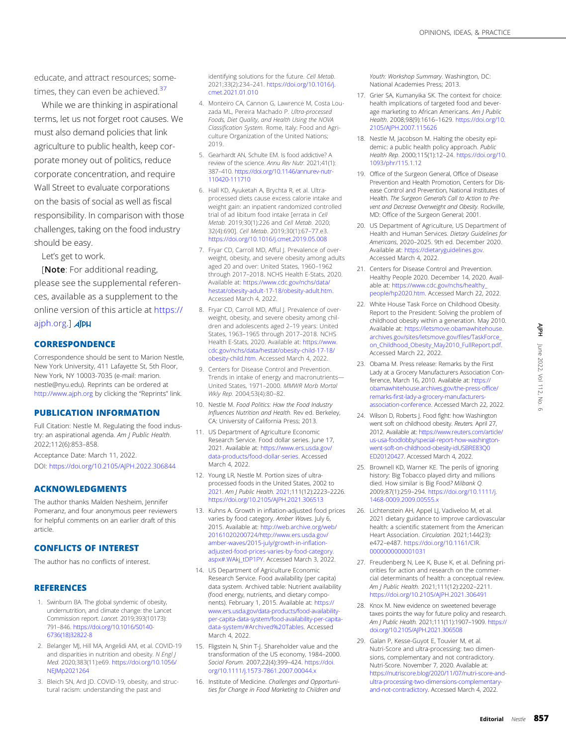<span id="page-4-0"></span>educate, and attract resources; sometimes, they can even be achieved.<sup>37</sup>

While we are thinking in aspirational terms, let us not forget root causes. We must also demand policies that link agriculture to public health, keep corporate money out of politics, reduce corporate concentration, and require Wall Street to evaluate corporations on the basis of social as well as fiscal responsibility. In comparison with those challenges, taking on the food industry should be easy.

Let's get to work.

[Note: For additional reading, please see the supplemental references, available as a supplement to the online version of this article at [https://](https://ajph.org) [ajph.org.](https://ajph.org)] **AJPH** 

#### **CORRESPONDENCE**

Correspondence should be sent to Marion Nestle, New York University, 411 Lafayette St, 5th Floor, New York, NY 10003-7035 (e-mail: [marion.](mailto:marion.nestle@nyu.edu) [nestle@nyu.edu](mailto:marion.nestle@nyu.edu)). Reprints can be ordered at <http://www.ajph.org> by clicking the "Reprints" link.

#### PUBLICATION INFORMATION

Full Citation: Nestle M. Regulating the food industry: an aspirational agenda. Am J Public Health. 2022;112(6):853–858.

Acceptance Date: March 11, 2022. DOI: <https://doi.org/10.2105/AJPH.2022.306844>

#### ACKNOWLEDGMENTS

The author thanks Malden Nesheim, Jennifer Pomeranz, and four anonymous peer reviewers for helpful comments on an earlier draft of this article.

#### CONFLICTS OF INTEREST

The author has no conflicts of interest.

#### **REFERENCES**

- 1. Swinburn BA. The global syndemic of obesity, undernutrition, and climate change: the Lancet Commission report. Lancet. 2019;393(10173): 791–846. [https://doi.org/10.1016/S0140-](https://doi.org/10.1016/S0140-6736(18)32822-8) [6736\(18\)32822-8](https://doi.org/10.1016/S0140-6736(18)32822-8)
- 2. Belanger MJ, Hill MA, Angelidi AM, et al. COVID-19 and disparities in nutrition and obesity. N Engl J Med. 2020;383(11):e69. [https://doi.org/10.1056/](https://doi.org/10.1056/NEJMp2021264) [NEJMp2021264](https://doi.org/10.1056/NEJMp2021264)
- 3. Bleich SN, Ard JD. COVID-19, obesity, and structural racism: understanding the past and

identifying solutions for the future. Cell Metab. 2021;33(2):234–241. [https://doi.org/10.1016/j.](https://doi.org/10.1016/j.cmet.2021.01.010) [cmet.2021.01.010](https://doi.org/10.1016/j.cmet.2021.01.010)

- 4. Monteiro CA, Cannon G, Lawrence M, Costa Louzada ML, Pereira Machado P. Ultra-processed Foods, Diet Quality, and Health Using the NOVA Classification System. Rome, Italy: Food and Agriculture Organization of the United Nations; 2019.
- 5. Gearhardt AN, Schulte EM. Is food addictive? A review of the science. Annu Rev Nutr. 2021;41(1): 387–410. [https://doi.org/10.1146/annurev-nutr-](https://doi.org/10.1146/annurev-nutr-110420-111710)[110420-111710](https://doi.org/10.1146/annurev-nutr-110420-111710)
- 6. Hall KD, Ayuketah A, Brychta R, et al. Ultraprocessed diets cause excess calorie intake and weight gain: an inpatient randomized controlled trial of ad libitum food intake [errata in Cell Metab. 2019;30(1):226 and Cell Metab. 2020; 32(4):690]. Cell Metab. 2019;30(1):67–77.e3. <https://doi.org/10.1016/j.cmet.2019.05.008>
- 7. Fryar CD, Carroll MD, Afful J. Prevalence of overweight, obesity, and severe obesity among adults aged 20 and over: United States, 1960–1962 through 2017–2018. NCHS Health E-Stats, 2020. Available at: [https://www.cdc.gov/nchs/data/](https://www.cdc.gov/nchs/data/hestat/obesity-adult-17-18/obesity-adult.htm) [hestat/obesity-adult-17-18/obesity-adult.htm.](https://www.cdc.gov/nchs/data/hestat/obesity-adult-17-18/obesity-adult.htm) Accessed March 4, 2022.
- 8. Fryar CD, Carroll MD, Afful J. Prevalence of overweight, obesity, and severe obesity among children and adolescents aged 2–19 years: United States, 1963–1965 through 2017–2018. NCHS Health E-Stats, 2020. Available at: [https://www.](https://www.cdc.gov/nchs/data/hestat/obesity-child-17-18/obesity-child.htm) [cdc.gov/nchs/data/hestat/obesity-child-17-18/](https://www.cdc.gov/nchs/data/hestat/obesity-child-17-18/obesity-child.htm) [obesity-child.htm](https://www.cdc.gov/nchs/data/hestat/obesity-child-17-18/obesity-child.htm). Accessed March 4, 2022.
- 9. Centers for Disease Control and Prevention. Trends in intake of energy and macronutrients— United States, 1971–2000. MMWR Morb Mortal Wkly Rep. 2004;53(4):80–82.
- 10. Nestle M. Food Politics: How the Food Industry Influences Nutrition and Health. Rev ed. Berkeley, CA: University of California Press; 2013.
- 11. US Department of Agriculture Economic Research Service. Food dollar series. June 17, 2021. Available at: [https://www.ers.usda.gov/](https://www.ers.usda.gov/data-products/food-dollar-series) [data-products/food-dollar-series](https://www.ers.usda.gov/data-products/food-dollar-series). Accessed March 4, 2022.
- 12. Young LR, Nestle M. Portion sizes of ultraprocessed foods in the United States, 2002 to [2021](http://2021). Am J Public Health. [2021](http://2021);111(12):2223–2226. <https://doi.org/10.2105/AJPH.2021.306513>
- 13. Kuhns A. Growth in inflation-adjusted food prices varies by food category. Amber Waves. July 6, 2015. Available at: [http://web.archive.org/web/](http://web.archive.org/web/20161020200724/http://www.ers.usda.gov/amber-waves/2015-july/growth-in-inflation-adjusted-food-prices-varies-by-food-category.aspx#.WAkj_tDP1PY) [20161020200724/http://www.ers.usda.gov/](http://web.archive.org/web/20161020200724/http://www.ers.usda.gov/amber-waves/2015-july/growth-in-inflation-adjusted-food-prices-varies-by-food-category.aspx#.WAkj_tDP1PY) [amber-waves/2015-july/growth-in-in](http://web.archive.org/web/20161020200724/http://www.ers.usda.gov/amber-waves/2015-july/growth-in-inflation-adjusted-food-prices-varies-by-food-category.aspx#.WAkj_tDP1PY)flationadjusted-food-prices-varies-by-food-categor [aspx#.WAkj\\_tDP1PY](http://web.archive.org/web/20161020200724/http://www.ers.usda.gov/amber-waves/2015-july/growth-in-inflation-adjusted-food-prices-varies-by-food-category.aspx#.WAkj_tDP1PY). Accessed March 3, 2022.
- 14. US Department of Agriculture Economic Research Service. Food availability (per capita) data system. Archived table: Nutrient availability (food energy, nutrients, and dietary components). February 1, 2015. Available at: [https://](https://www.ers.usda.gov/data-products/food-availability-per-capita-data-system/food-availability-per-capita-data-system/#Archived%20Tables) [www.ers.usda.gov/data-products/food-availability](https://www.ers.usda.gov/data-products/food-availability-per-capita-data-system/food-availability-per-capita-data-system/#Archived%20Tables)[per-capita-data-system/food-availability-per-capita](https://www.ers.usda.gov/data-products/food-availability-per-capita-data-system/food-availability-per-capita-data-system/#Archived%20Tables)[data-system/#Archived%20Tables.](https://www.ers.usda.gov/data-products/food-availability-per-capita-data-system/food-availability-per-capita-data-system/#Archived%20Tables) Accessed March 4, 2022.
- 15. Fligstein N, Shin T-J. Shareholder value and the transformation of the US economy, 1984–2000. Sociol Forum. 2007;22(4):399–424. [https://doi.](https://doi.org/10.1111/j.1573-7861.2007.00044.x) [org/10.1111/j.1573-7861.2007.00044.x](https://doi.org/10.1111/j.1573-7861.2007.00044.x)
- 16. Institute of Medicine. Challenges and Opportunities for Change in Food Marketing to Children and

Youth: Workshop Summary. Washington, DC: National Academies Press; 2013.

- 17. Grier SA, Kumanyika SK. The context for choice: health implications of targeted food and beverage marketing to African Americans. Am J Public Health. 2008;98(9):1616–1629. [https://doi.org/10.](https://doi.org/10.2105/AJPH.2007.115626) [2105/AJPH.2007.115626](https://doi.org/10.2105/AJPH.2007.115626)
- 18. Nestle M, Jacobson M. Halting the obesity epidemic: a public health policy approach. Public Health Rep. 2000;115(1):12–24. [https://doi.org/10.](https://doi.org/10.1093/phr/115.1.12) [1093/phr/115.1.12](https://doi.org/10.1093/phr/115.1.12)
- 19. Office of the Surgeon General, Office of Disease Prevention and Health Promotion, Centers for Disease Control and Prevention, National Institutes of Health. The Surgeon General's Call to Action to Prevent and Decrease Overweight and Obesity. Rockville, MD: Office of the Surgeon General; 2001.
- 20. US Department of Agriculture, US Department of Health and Human Services. Dietary Guidelines for Americans, 2020–2025. 9th ed. December 2020. Available at: [https://dietaryguidelines.gov.](https://dietaryguidelines.gov) Accessed March 4, 2022.
- 21. Centers for Disease Control and Prevention. Healthy People 2020. December 14, 2020. Available at: [https://www.cdc.gov/nchs/healthy\\_](https://www.cdc.gov/nchs/healthy_people/hp2020.htm) [people/hp2020.htm](https://www.cdc.gov/nchs/healthy_people/hp2020.htm). Accessed March 22, 2022.
- 22. White House Task Force on Childhood Obesity. Report to the President: Solving the problem of childhood obesity within a generation. May 2010. Available at: [https://letsmove.obamawhitehouse.](https://letsmove.obamawhitehouse.archives.gov/sites/letsmove.gov/files/TaskForce_on_Childhood_Obesity_May2010_FullReport.pdf) [archives.gov/sites/letsmove.gov/](https://letsmove.obamawhitehouse.archives.gov/sites/letsmove.gov/files/TaskForce_on_Childhood_Obesity_May2010_FullReport.pdf)files/TaskForce\_ [on\\_Childhood\\_Obesity\\_May2010\\_FullReport.pdf.](https://letsmove.obamawhitehouse.archives.gov/sites/letsmove.gov/files/TaskForce_on_Childhood_Obesity_May2010_FullReport.pdf) Accessed March 22, 2022.
- 23. Obama M. Press release: Remarks by the First Lady at a Grocery Manufacturers Association Conference, March 16, 2010. Available at: [https://](https://obamawhitehouse.archives.gov/the-press-office/remarks-first-lady-a-grocery-manufacturers-association-conference) [obamawhitehouse.archives.gov/the-press-of](https://obamawhitehouse.archives.gov/the-press-office/remarks-first-lady-a-grocery-manufacturers-association-conference)fice/ remarks-fi[rst-lady-a-grocery-manufacturers](https://obamawhitehouse.archives.gov/the-press-office/remarks-first-lady-a-grocery-manufacturers-association-conference)[association-conference](https://obamawhitehouse.archives.gov/the-press-office/remarks-first-lady-a-grocery-manufacturers-association-conference). Accessed March 22, 2022.
- 24. Wilson D, Roberts J. Food fight: how Washington went soft on childhood obesity. Reuters. April 27, 2012. Available at: [https://www.reuters.com/article/](https://www.reuters.com/article/us-usa-foodlobby/special-report-how-washington-went-soft-on-childhood-obesity-idUSBRE83Q0ED20120427) [us-usa-foodlobby/special-report-how-washington](https://www.reuters.com/article/us-usa-foodlobby/special-report-how-washington-went-soft-on-childhood-obesity-idUSBRE83Q0ED20120427)[went-soft-on-childhood-obesity-idUSBRE83Q0](https://www.reuters.com/article/us-usa-foodlobby/special-report-how-washington-went-soft-on-childhood-obesity-idUSBRE83Q0ED20120427) [ED20120427.](https://www.reuters.com/article/us-usa-foodlobby/special-report-how-washington-went-soft-on-childhood-obesity-idUSBRE83Q0ED20120427) Accessed March 4, 2022.
- 25. Brownell KD, Warner KE. The perils of ignoring history: Big Tobacco played dirty and millions died. How similar is Big Food? Milbank Q. 2009;87(1):259–294. [https://doi.org/10.1111/j.](https://doi.org/10.1111/j.1468-0009.2009.00555.x) [1468-0009.2009.00555.x](https://doi.org/10.1111/j.1468-0009.2009.00555.x)
- 26. Lichtenstein AH, Appel LJ, Vadiveloo M, et al. 2021 dietary guidance to improve cardiovascular health: a scientific statement from the American Heart Association. Circulation. 2021;144(23): e472–e487. [https://doi.org/10.1161/CIR.](https://doi.org/10.1161/CIR.0000000000001031) [0000000000001031](https://doi.org/10.1161/CIR.0000000000001031)
- 27. Freudenberg N, Lee K, Buse K, et al. Defining priorities for action and research on the commercial determinants of health: a conceptual review. Am J Public Health. 2021;111(12):2202–2211. <https://doi.org/10.2105/AJPH.2021.306491>
- 28. Knox M. New evidence on sweetened beverage taxes points the way for future policy and research. Am J Public Health. 2021;111(11):1907–1909. [https://](https://doi.org/10.2105/AJPH.2021.306508) [doi.org/10.2105/AJPH.2021.306508](https://doi.org/10.2105/AJPH.2021.306508)
- 29. Galan P, Kesse-Guyot E, Touvier M, et al. Nutri-Score and ultra-processing: two dimensions, complementary and not contradictory. Nutri-Score. November 7, 2020. Available at: [https://nutriscore.blog/2020/11/07/nutri-score-and](https://nutriscore.blog/2020/11/07/nutri-score-and-ultra-processing-two-dimensions-complementary-and-not-contradictory)[ultra-processing-two-dimensions-complementary](https://nutriscore.blog/2020/11/07/nutri-score-and-ultra-processing-two-dimensions-complementary-and-not-contradictory)[and-not-contradictory](https://nutriscore.blog/2020/11/07/nutri-score-and-ultra-processing-two-dimensions-complementary-and-not-contradictory). Accessed March 4, 2022. Editorial Nestle 857<br>
Editorial Nestle 857<br>
The First First Find Conduction<br>
Section Conduction<br>
Section Conduction<br>
Section 12, No. 868<br>
2022, 2022, 2022, 1111/j.<br>
Editorial Mestle 857<br>
Editorial Nestle 857<br>
Editorial Nes